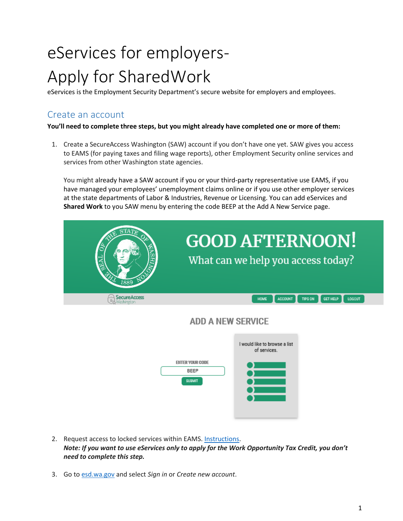# eServices for employers-Apply for SharedWork

eServices is the Employment Security Department's secure website for employers and employees.

# Create an account

**You'll need to complete three steps, but you might already have completed one or more of them:**

1. Create a SecureAccess Washington (SAW) account if you don't have one yet. SAW gives you access to EAMS (for paying taxes and filing wage reports), other Employment Security online services and services from other Washington state agencies.

You might already have a SAW account if you or your third-party representative use EAMS, if you have managed your employees' unemployment claims online or if you use other employer services at the state departments of Labor & Industries, Revenue or Licensing. You can add eServices and **Shared Work** to you SAW menu by entering the code BEEP at the Add A New Service page.



# **ADD A NEW SERVICE**



- 2. Request access to locked services within EAMS. [Instructions.](https://esd.wa.gov/employer-taxes/about-EAMS) *Note: If you want to use eServices only to apply for the Work Opportunity Tax Credit, you don't need to complete this step.*
- 3. Go to [esd.wa.gov](http://www.esd.wa.gov/) and select *Sign in* or *Create new account*.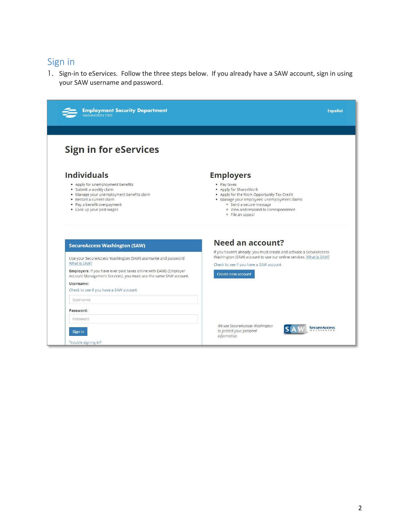# Sign in

1. Sign-in to eServices. Follow the three steps below. If you already have a SAW account, sign in using your SAW username and password.

| <b>Employment Security Department</b>                                                                                                                                                              | <b>Español</b>                                                                                                                                                                                                              |
|----------------------------------------------------------------------------------------------------------------------------------------------------------------------------------------------------|-----------------------------------------------------------------------------------------------------------------------------------------------------------------------------------------------------------------------------|
| <b>Sign in for eServices</b>                                                                                                                                                                       |                                                                                                                                                                                                                             |
| <b>Individuals</b>                                                                                                                                                                                 | <b>Employers</b>                                                                                                                                                                                                            |
| • Apply for unemployment benefits<br>· Submit a weekly claim<br>· Manage your unemployment benefits claim<br>• Restart a current claim<br>• Pay a benefit overpayment<br>• Look up your past wages | • Pay taxes<br>• Apply for SharedWork<br>• Apply for the Work Opportunity Tax Credit<br>· Manage your employees' unemployment claims<br>· Send a secure message<br>· View and respond to correspondence<br>o File an appeal |
| <b>SecureAccess Washington (SAW)</b>                                                                                                                                                               | Need an account?                                                                                                                                                                                                            |
| Use your SecureAccess Washington (SAW) username and password<br>What is SAW?                                                                                                                       | If you haven't already, you must create and activate a SecureAccess<br>Washington (SAW) account to use our online services. What is SAW?<br>Check to see if you have a SAW account                                          |
| Employers: If you have ever paid taxes online with EAMS (Employer<br>Account Management Services), you must use the same SAW account.                                                              | Create new account                                                                                                                                                                                                          |
| Username:<br>Check to see if you have a SAW account                                                                                                                                                |                                                                                                                                                                                                                             |
| <b>Username</b>                                                                                                                                                                                    |                                                                                                                                                                                                                             |
| Password:                                                                                                                                                                                          |                                                                                                                                                                                                                             |
| Password                                                                                                                                                                                           |                                                                                                                                                                                                                             |
| Sign in                                                                                                                                                                                            | We use SecureAccesss Washington<br><b>SecureAccess</b><br>to protect your personal                                                                                                                                          |
|                                                                                                                                                                                                    | information                                                                                                                                                                                                                 |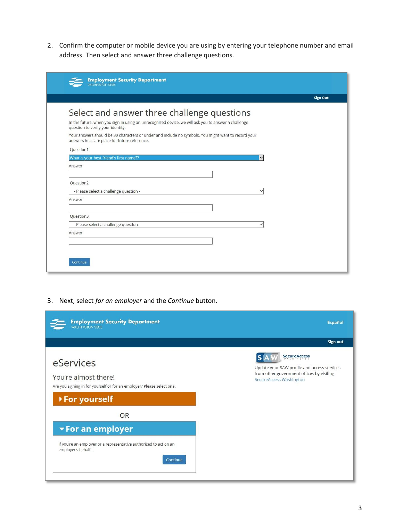2. Confirm the computer or mobile device you are using by entering your telephone number and email address. Then select and answer three challenge questions.

| <b>Employment Security Department</b><br><b>WASHINGTON STATE</b>                                                                                     |                 |
|------------------------------------------------------------------------------------------------------------------------------------------------------|-----------------|
|                                                                                                                                                      | <b>Sign Out</b> |
| Select and answer three challenge questions                                                                                                          |                 |
| In the future, when you sign in using an unrecognized device, we will ask you to answer a challenge<br>question to verify your identity.             |                 |
| Your answers should be 30 characters or under and include no symbols. You might want to record your<br>answers in a safe place for future reference. |                 |
| Question1                                                                                                                                            |                 |
| What is your best friend's first name??                                                                                                              |                 |
| Answer                                                                                                                                               |                 |
|                                                                                                                                                      |                 |
| Question2                                                                                                                                            |                 |
| - Please select a challenge question -<br>$\checkmark$                                                                                               |                 |
| Answer                                                                                                                                               |                 |
|                                                                                                                                                      |                 |
| Question3                                                                                                                                            |                 |
| - Please select a challenge question -<br>$\checkmark$                                                                                               |                 |
| Answer                                                                                                                                               |                 |
|                                                                                                                                                      |                 |
|                                                                                                                                                      |                 |
|                                                                                                                                                      |                 |
| Continue                                                                                                                                             |                 |

3. Next, select *for an employer* and the *Continue* button.

| <b>Employment Security Department</b><br><b>WASHINGTON STATE</b>                                            | <b>Español</b>                                                                                                                      |
|-------------------------------------------------------------------------------------------------------------|-------------------------------------------------------------------------------------------------------------------------------------|
|                                                                                                             | Sign out                                                                                                                            |
| eServices<br>You're almost there!<br>Are you signing in for yourself or for an employer? Please select one. | SecureAccess<br>Update your SAW profile and access services<br>from other government offices by visiting<br>SecureAccess Washington |
| ▶ For yourself                                                                                              |                                                                                                                                     |
| <b>OR</b>                                                                                                   |                                                                                                                                     |
| <b>For an employer</b>                                                                                      |                                                                                                                                     |
| If you're an employer or a representative authorized to act on an<br>employer's behalf -<br>Continue        |                                                                                                                                     |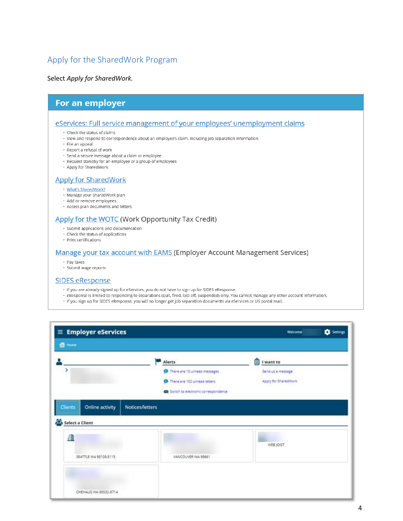# Apply for the SharedWork Program

Select *Apply for SharedWork.*

## For an employer

#### eServices: Full service management of your employees' unemployment claims

- Check the status of claims
- · View and respond to correspondence about an employee's claim, including job separation information
- · File an appeal
- · Report a refusal of work
- · Send a secure message about a claim or employee
- Request standby for an employee or a group of employees
- Apply for SharedWork

#### **Apply for SharedWork**

- . What's SharedWork?
- · Manage your SharedWork plan
- · Add or remove employees
- Access plan documents and letters

#### Apply for the WOTC (Work Opportunity Tax Credit)

- · Submit applications and documentation
- Check the status of applications
- Print certifications

#### Manage your tax account with EAMS (Employer Account Management Services)

- Pay taxes
- · Submit wage reports

#### **SIDES eResponse**

- · If you are already signed up for eServices, you do not have to sign up for SIDES eResponse.
- · eResponse is limited to responding to separations (quit, fired, laid off, suspended) only. You cannot manage any other account information.
- · If you sign up for SIDES eResponse, you will no longer get job separation documents via eServices or US postal mail.

| 备 Home                                             |                                                                                                                |                                                             |  |
|----------------------------------------------------|----------------------------------------------------------------------------------------------------------------|-------------------------------------------------------------|--|
| ۶                                                  | Alerts<br>There are 10 unread messages<br>There are 102 unread letters<br>Switch to electronic correspondence. | Ô<br>I want to<br>Send us a message<br>Apply for SharedWork |  |
|                                                    |                                                                                                                |                                                             |  |
| Clients<br>Online activity<br>Select a Client<br>且 | Notices/letters                                                                                                | WEB JOIST                                                   |  |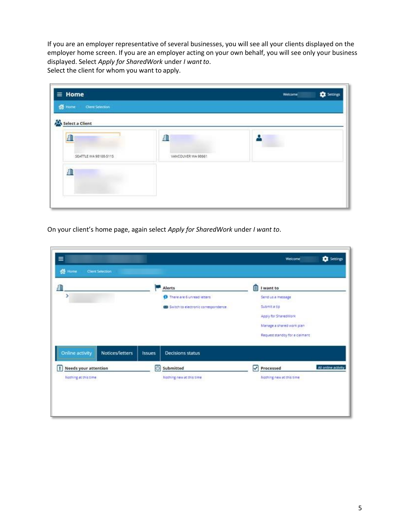If you are an employer representative of several businesses, you will see all your clients displayed on the employer home screen. If you are an employer acting on your own behalf, you will see only your business displayed. Select *Apply for SharedWork* under *I wantto*. Select the client for whom you want to apply.

|                    | Settings<br>Welcome |
|--------------------|---------------------|
|                    |                     |
|                    |                     |
| ₽                  |                     |
| VANCOUVER WA 98661 |                     |
|                    |                     |
|                    |                     |
|                    |                     |
|                    |                     |

On your client's home page, again select *Apply for SharedWork* under *I want to*.

| 里<br>>                           |                 |               | Alerts<br>There are 6 unread letters<br>63 Switch to electronic correspondence. | 自 | I want to<br>Send us a message<br>Submit a tip<br>Apply for SharedWork<br>Manage a shared work plan.<br>Request standby for a claimant |                     |
|----------------------------------|-----------------|---------------|---------------------------------------------------------------------------------|---|----------------------------------------------------------------------------------------------------------------------------------------|---------------------|
| Online activity                  | Notices/letters | <b>Issues</b> | <b>Decisions status</b>                                                         |   |                                                                                                                                        |                     |
| T<br><b>Needs your attention</b> |                 | 同             | Submitted                                                                       | ☑ | Processed                                                                                                                              | All online activity |
| Nothing at this time             |                 |               | Nothing new at this time.                                                       |   | Nothing new at this time                                                                                                               |                     |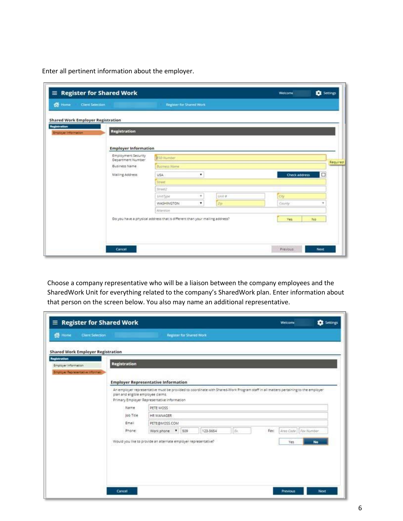Enter all pertinent information about the employer.

| $\equiv$ Register for Shared Work           |                                                                             |   |               |               |    |
|---------------------------------------------|-----------------------------------------------------------------------------|---|---------------|---------------|----|
| <b>Client Selection</b>                     | Register for Shared Work                                                    |   |               |               |    |
| <b>Shared Work Employer Registration</b>    |                                                                             |   |               |               |    |
|                                             |                                                                             |   |               |               |    |
| <b>Registration</b><br>Employer Information |                                                                             |   |               |               |    |
|                                             |                                                                             |   |               |               |    |
| <b>Employer Information</b>                 |                                                                             |   |               |               |    |
| Employment Security<br>Department Number    | ESO Number                                                                  |   |               |               |    |
| Business Name                               | Business Nome                                                               |   |               |               |    |
| Mailing Address                             | USA.                                                                        | ٠ |               | Check address | □  |
|                                             | Street                                                                      |   |               |               |    |
|                                             | Street2                                                                     |   |               |               |    |
|                                             | UnitType                                                                    | × | <b>Unit #</b> | <td></td>     |    |
|                                             | <b>WASHINGTON</b>                                                           | ۰ | <b>Argo</b>   | County        |    |
|                                             | Attention                                                                   |   |               |               |    |
|                                             | Do you have a physical address that is different than your mailing address? |   |               | <b>Ves</b>    | No |
|                                             |                                                                             |   |               |               |    |

Choose a company representative who will be a liaison between the company employees and the SharedWork Unit for everything related to the company's SharedWork plan. Enter information about that person on the screen below. You also may name an additional representative.

| $\equiv$ Register for Shared Work           |                                    |                                                                                                                                                                                   |                                 |          |     |      | Welcome                | <b>Ex</b> Settings |
|---------------------------------------------|------------------------------------|-----------------------------------------------------------------------------------------------------------------------------------------------------------------------------------|---------------------------------|----------|-----|------|------------------------|--------------------|
| <b>备 Home</b><br><b>Client Selection</b>    |                                    |                                                                                                                                                                                   | <b>Register for Shared Work</b> |          |     |      |                        |                    |
| <b>Shared Work Employer Registration</b>    |                                    |                                                                                                                                                                                   |                                 |          |     |      |                        |                    |
| <b>Registration</b><br>Employer Information | <b>Registration</b>                |                                                                                                                                                                                   |                                 |          |     |      |                        |                    |
| <b>Employer Representative Informati</b>    |                                    | <b>Employer Representative Information</b>                                                                                                                                        |                                 |          |     |      |                        |                    |
|                                             | plan and eligible employee claims. | An employer representative must be provided to coordinate with Shared-Work Program staff in all matters pertaining to the employer<br>Primary Employer Representative Information |                                 |          |     |      |                        |                    |
|                                             | Name:                              | PETE MOSS                                                                                                                                                                         |                                 |          |     |      |                        |                    |
|                                             | Job Title                          | HR MANAGER                                                                                                                                                                        |                                 |          |     |      |                        |                    |
|                                             | Email                              |                                                                                                                                                                                   | PETE@MOSS.COM                   |          |     |      |                        |                    |
|                                             | Phone:                             | Work phone <b>*</b>                                                                                                                                                               | 509                             | 123-5654 | Er. | Fax: | Area Code   Fax Number |                    |
|                                             |                                    | Would you like to provide an alternate employer representative?                                                                                                                   |                                 |          |     |      |                        | No                 |
|                                             |                                    |                                                                                                                                                                                   |                                 |          |     |      |                        |                    |
|                                             |                                    |                                                                                                                                                                                   |                                 |          |     |      |                        |                    |
|                                             |                                    |                                                                                                                                                                                   |                                 |          |     |      |                        |                    |
|                                             |                                    |                                                                                                                                                                                   |                                 |          |     |      |                        |                    |
|                                             |                                    |                                                                                                                                                                                   |                                 |          |     |      |                        |                    |
|                                             | Cancel                             |                                                                                                                                                                                   |                                 |          |     |      | Previous               | <b>Next</b>        |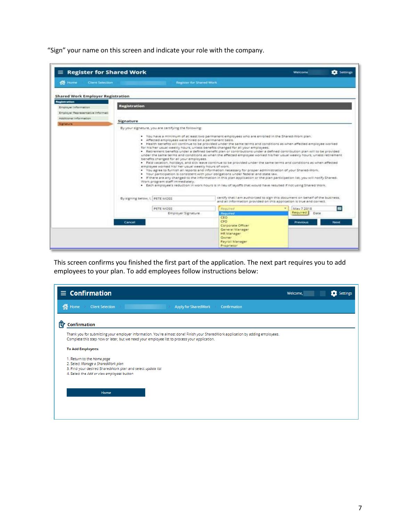"Sign" your name on this screen and indicate your role with the company.

| $\equiv$ Register for Shared Work                               |                                |                                                                                                                                                                                              |                                                                                                                                                                                                                                                                                                                                                                                                                                                                                                                                                                                                                                                                                                                                                                                                                                                                                                                                                                                                                                                         | Welcome                                                                                                                                                | <b>EX</b> Settings |
|-----------------------------------------------------------------|--------------------------------|----------------------------------------------------------------------------------------------------------------------------------------------------------------------------------------------|---------------------------------------------------------------------------------------------------------------------------------------------------------------------------------------------------------------------------------------------------------------------------------------------------------------------------------------------------------------------------------------------------------------------------------------------------------------------------------------------------------------------------------------------------------------------------------------------------------------------------------------------------------------------------------------------------------------------------------------------------------------------------------------------------------------------------------------------------------------------------------------------------------------------------------------------------------------------------------------------------------------------------------------------------------|--------------------------------------------------------------------------------------------------------------------------------------------------------|--------------------|
| <b>Red</b> Home<br>Client Selection                             |                                | <b>Register for Shared Work</b>                                                                                                                                                              |                                                                                                                                                                                                                                                                                                                                                                                                                                                                                                                                                                                                                                                                                                                                                                                                                                                                                                                                                                                                                                                         |                                                                                                                                                        |                    |
| <b>Shared Work Employer Registration</b><br><b>Registration</b> |                                |                                                                                                                                                                                              |                                                                                                                                                                                                                                                                                                                                                                                                                                                                                                                                                                                                                                                                                                                                                                                                                                                                                                                                                                                                                                                         |                                                                                                                                                        |                    |
| Employer Information                                            | <b>Registration</b>            |                                                                                                                                                                                              |                                                                                                                                                                                                                                                                                                                                                                                                                                                                                                                                                                                                                                                                                                                                                                                                                                                                                                                                                                                                                                                         |                                                                                                                                                        |                    |
| Employer Representative Informati                               |                                |                                                                                                                                                                                              |                                                                                                                                                                                                                                                                                                                                                                                                                                                                                                                                                                                                                                                                                                                                                                                                                                                                                                                                                                                                                                                         |                                                                                                                                                        |                    |
| Additional Information                                          |                                |                                                                                                                                                                                              |                                                                                                                                                                                                                                                                                                                                                                                                                                                                                                                                                                                                                                                                                                                                                                                                                                                                                                                                                                                                                                                         |                                                                                                                                                        |                    |
| Signature                                                       | Signature                      |                                                                                                                                                                                              |                                                                                                                                                                                                                                                                                                                                                                                                                                                                                                                                                                                                                                                                                                                                                                                                                                                                                                                                                                                                                                                         |                                                                                                                                                        |                    |
|                                                                 |                                | By your signature, you are certifying the following:                                                                                                                                         |                                                                                                                                                                                                                                                                                                                                                                                                                                                                                                                                                                                                                                                                                                                                                                                                                                                                                                                                                                                                                                                         |                                                                                                                                                        |                    |
|                                                                 | By signing below, I, PETE MOSS | · Affected employees were hired on a permanent basis.<br>benefits changed for all your employees.<br>employee worked his/ her usual weekly hours of work.<br>Work program staff immediately. | . Health benefits will continue to be provided under the same terms and conditions as when affected employee worked<br>for his/her usual weekly hours, unless benefits changed for all your employees.<br>. Retirement benefits under a defined benefit plan or contributions under a defined contribution plan will to be provided<br>under the same terms and conditions as when the affected employee worked his/her usual weekly hours, unless retirement<br>. Paid vacation, holidays, and sick leave continue to be provided under the same terms and conditions as when affected<br>. You agree to furnish all reports and information necessary for proper administration of your Shared-Work.<br>. Your participation is consistent with your obligations under federal and state law.<br>. If there are any changed to the information in this plan application or the plan participation list, you will notify Shared-<br>. Each employee's reduction in work hours is in lieu of layoffs that would have resulted if not using Shared Work. | certify that I am authorized to sign this document on behalf of the business;<br>and all information provided on this application is true and correct. |                    |
|                                                                 |                                | PETE MOSS                                                                                                                                                                                    | Regulred                                                                                                                                                                                                                                                                                                                                                                                                                                                                                                                                                                                                                                                                                                                                                                                                                                                                                                                                                                                                                                                | May 7,2018                                                                                                                                             | $\blacksquare$     |
|                                                                 |                                | Employer Signature                                                                                                                                                                           | Required<br><b>CEO</b>                                                                                                                                                                                                                                                                                                                                                                                                                                                                                                                                                                                                                                                                                                                                                                                                                                                                                                                                                                                                                                  | Required<br>Date:                                                                                                                                      |                    |
|                                                                 | Cancel                         |                                                                                                                                                                                              | CFO<br>Corporate Officer<br>General Manager<br>HR Manager<br>Owner<br>Payroll Manager<br>Proprietor                                                                                                                                                                                                                                                                                                                                                                                                                                                                                                                                                                                                                                                                                                                                                                                                                                                                                                                                                     | Previous                                                                                                                                               | Next               |

This screen confirms you finished the first part of the application. The next part requires you to add employees to your plan. To add employees follow instructions below:

| $\equiv$ Confirmation                                                                                                                                                                                                           | Welcome, | <b>C</b> Settings |
|---------------------------------------------------------------------------------------------------------------------------------------------------------------------------------------------------------------------------------|----------|-------------------|
| of Home<br><b>Client Selection</b><br><b>Apply for SharedWork</b><br>Confirmation                                                                                                                                               |          |                   |
| 艮<br><b>Confirmation</b>                                                                                                                                                                                                        |          |                   |
| Thank you for submitting your employer information. You're almost done! Finish your SharedWork application by adding employees.<br>Complete this step now or later, but we need your employee list to process your application. |          |                   |
| <b>To Add Employees:</b>                                                                                                                                                                                                        |          |                   |
| 1. Return to the Home page<br>2. Select Manage a SharedWork plan<br>3. Find your desired SharedWork plan and select update list<br>4. Select the Add or view employees button                                                   |          |                   |
| Home                                                                                                                                                                                                                            |          |                   |
|                                                                                                                                                                                                                                 |          |                   |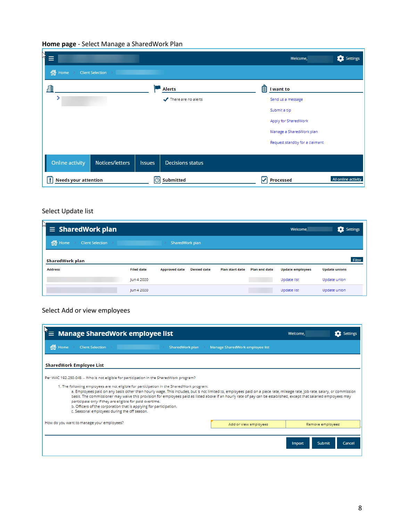#### **Home page** - Select Manage a SharedWork Plan

| Ą<br>Ξ                           |                         |               |                         |   | Welcome,                       | Settings            |
|----------------------------------|-------------------------|---------------|-------------------------|---|--------------------------------|---------------------|
| <sup>1</sup> Home                | <b>Client Selection</b> |               |                         |   |                                |                     |
| 匪                                |                         |               | <b>Alerts</b>           |   | $2$ I want to                  |                     |
|                                  |                         |               | There are no alerts     |   | Send us a message              |                     |
|                                  |                         |               |                         |   | Submit a tip                   |                     |
|                                  |                         |               |                         |   | Apply for SharedWork           |                     |
|                                  |                         |               |                         |   | Manage a SharedWork plan       |                     |
|                                  |                         |               |                         |   | Request standby for a claimant |                     |
|                                  |                         |               |                         |   |                                |                     |
| <b>Online activity</b>           | <b>Notices/letters</b>  | <b>Issues</b> | <b>Decisions status</b> |   |                                |                     |
| <b>Needs your attention</b><br>Ţ |                         | 同             | <b>Submitted</b>        | V | <b>Processed</b>               | All online activity |

# Select Update list

| Ŋ<br>$\equiv$ SharedWork plan     |                   |                      |                    |                 |                      | Welcome,                | Settings             |
|-----------------------------------|-------------------|----------------------|--------------------|-----------------|----------------------|-------------------------|----------------------|
| o Home<br><b>Client Selection</b> |                   | SharedWork plan      |                    |                 |                      |                         |                      |
| SharedWork plan                   |                   |                      |                    |                 |                      |                         | Filter               |
| <b>Address</b>                    | <b>Filed date</b> | <b>Approved date</b> | <b>Denied date</b> | Plan start date | <b>Plan end date</b> | <b>Update employees</b> | <b>Update unions</b> |
|                                   | lun 4 2020        |                      |                    |                 |                      | Update list             | Update union         |
|                                   | Jun 4 2020        |                      |                    |                 |                      | Update list             | Update union         |

### Select Add or view employees

| $\hat{I} \equiv$ Manage SharedWork employee list                                                                                                                                                                                                                                                                                                                                                                                                                                                                                                                                                                                                                                                                           |                                 | Welcome,                       | <b>C</b> Settings |  |  |  |  |  |
|----------------------------------------------------------------------------------------------------------------------------------------------------------------------------------------------------------------------------------------------------------------------------------------------------------------------------------------------------------------------------------------------------------------------------------------------------------------------------------------------------------------------------------------------------------------------------------------------------------------------------------------------------------------------------------------------------------------------------|---------------------------------|--------------------------------|-------------------|--|--|--|--|--|
| 全<br>Home<br><b>Client Selection</b><br>SharedWork plan                                                                                                                                                                                                                                                                                                                                                                                                                                                                                                                                                                                                                                                                    | Manage SharedWork employee list |                                |                   |  |  |  |  |  |
| SharedWork Employee List                                                                                                                                                                                                                                                                                                                                                                                                                                                                                                                                                                                                                                                                                                   |                                 |                                |                   |  |  |  |  |  |
| Per WAC 192-250-045 -- Who is not eligible for participation in the SharedWork program?<br>1. The following employees are not eligible for participation in the SharedWork program:<br>a. Employees paid on any basis other than hourly wage. This includes, but is not limited to, employees paid on a piece rate, mileage rate, job rate, salary, or commission<br>basis. The commissioner may waive this provision for employees paid as listed above if an hourly rate of pay can be established, except that salaried employees may<br>participate only if they are eligible for paid overtime.<br>b. Officers of the corporation that is applying for participation.<br>c. Seasonal employees during the off season. |                                 |                                |                   |  |  |  |  |  |
| How do you want to manage your employees?                                                                                                                                                                                                                                                                                                                                                                                                                                                                                                                                                                                                                                                                                  | Add or view employees           | Remove employees               |                   |  |  |  |  |  |
|                                                                                                                                                                                                                                                                                                                                                                                                                                                                                                                                                                                                                                                                                                                            |                                 | <b>Submit</b><br><b>Import</b> | Cancel            |  |  |  |  |  |